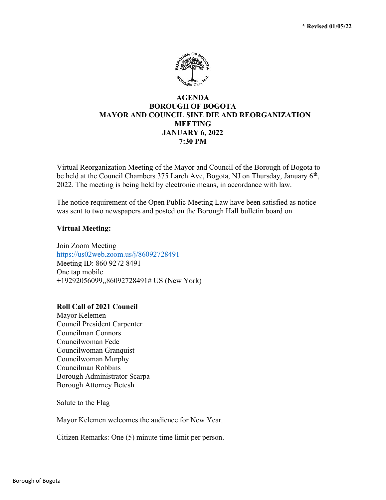

# AGENDA BOROUGH OF BOGOTA MAYOR AND COUNCIL SINE DIE AND REORGANIZATION MEETING JANUARY 6, 2022 7:30 PM

Virtual Reorganization Meeting of the Mayor and Council of the Borough of Bogota to be held at the Council Chambers 375 Larch Ave, Bogota, NJ on Thursday, January  $6<sup>th</sup>$ , 2022. The meeting is being held by electronic means, in accordance with law.

The notice requirement of the Open Public Meeting Law have been satisfied as notice was sent to two newspapers and posted on the Borough Hall bulletin board on

# Virtual Meeting:

Join Zoom Meeting https://us02web.zoom.us/j/86092728491 Meeting ID: 860 9272 8491 One tap mobile +19292056099,,86092728491# US (New York)

# Roll Call of 2021 Council

Mayor Kelemen Council President Carpenter Councilman Connors Councilwoman Fede Councilwoman Granquist Councilwoman Murphy Councilman Robbins Borough Administrator Scarpa Borough Attorney Betesh

Salute to the Flag

Mayor Kelemen welcomes the audience for New Year.

Citizen Remarks: One (5) minute time limit per person.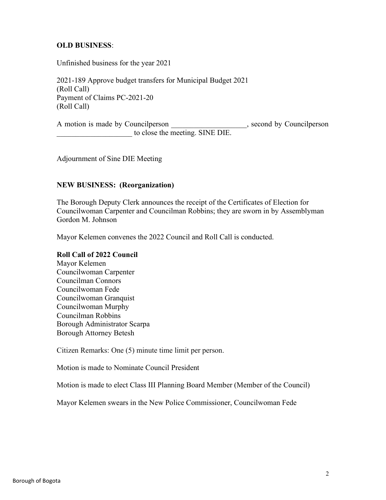# OLD BUSINESS:

Unfinished business for the year 2021

2021-189 Approve budget transfers for Municipal Budget 2021 (Roll Call) Payment of Claims PC-2021-20 (Roll Call)

A motion is made by Councilperson example to the second by Councilperson to close the meeting. SINE DIE.

Adjournment of Sine DIE Meeting

# NEW BUSINESS: (Reorganization)

The Borough Deputy Clerk announces the receipt of the Certificates of Election for Councilwoman Carpenter and Councilman Robbins; they are sworn in by Assemblyman Gordon M. Johnson

Mayor Kelemen convenes the 2022 Council and Roll Call is conducted.

# Roll Call of 2022 Council

Mayor Kelemen Councilwoman Carpenter Councilman Connors Councilwoman Fede Councilwoman Granquist Councilwoman Murphy Councilman Robbins Borough Administrator Scarpa Borough Attorney Betesh

Citizen Remarks: One (5) minute time limit per person.

Motion is made to Nominate Council President

Motion is made to elect Class III Planning Board Member (Member of the Council)

Mayor Kelemen swears in the New Police Commissioner, Councilwoman Fede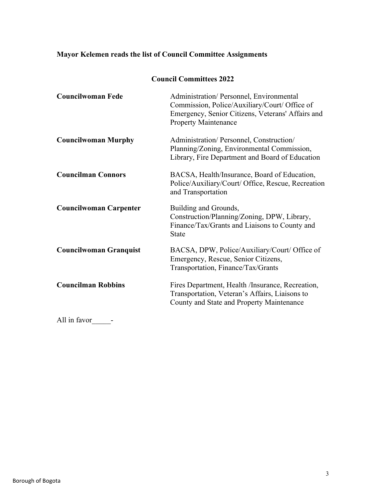# Mayor Kelemen reads the list of Council Committee Assignments

|  | <b>Council Committees 2022</b> |  |
|--|--------------------------------|--|
|--|--------------------------------|--|

| <b>Councilwoman Fede</b>      | Administration/Personnel, Environmental<br>Commission, Police/Auxiliary/Court/ Office of<br>Emergency, Senior Citizens, Veterans' Affairs and<br><b>Property Maintenance</b> |
|-------------------------------|------------------------------------------------------------------------------------------------------------------------------------------------------------------------------|
| <b>Councilwoman Murphy</b>    | Administration/Personnel, Construction/<br>Planning/Zoning, Environmental Commission,<br>Library, Fire Department and Board of Education                                     |
| <b>Councilman Connors</b>     | BACSA, Health/Insurance, Board of Education,<br>Police/Auxiliary/Court/ Office, Rescue, Recreation<br>and Transportation                                                     |
| <b>Councilwoman Carpenter</b> | Building and Grounds,<br>Construction/Planning/Zoning, DPW, Library,<br>Finance/Tax/Grants and Liaisons to County and<br><b>State</b>                                        |
| <b>Councilwoman Granquist</b> | BACSA, DPW, Police/Auxiliary/Court/ Office of<br>Emergency, Rescue, Senior Citizens,<br>Transportation, Finance/Tax/Grants                                                   |
| <b>Councilman Robbins</b>     | Fires Department, Health /Insurance, Recreation,<br>Transportation, Veteran's Affairs, Liaisons to<br>County and State and Property Maintenance                              |
| All in favor                  |                                                                                                                                                                              |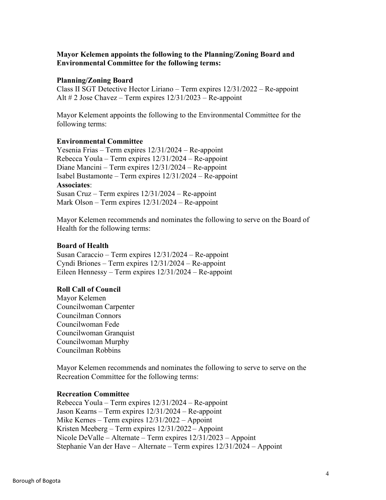# Mayor Kelemen appoints the following to the Planning/Zoning Board and Environmental Committee for the following terms:

#### Planning/Zoning Board

Class II SGT Detective Hector Liriano – Term expires 12/31/2022 – Re-appoint Alt  $\# 2$  Jose Chavez – Term expires  $12/31/2023$  – Re-appoint

Mayor Kelement appoints the following to the Environmental Committee for the following terms:

#### Environmental Committee

Yesenia Frias – Term expires 12/31/2024 – Re-appoint Rebecca Youla – Term expires 12/31/2024 – Re-appoint Diane Mancini – Term expires 12/31/2024 – Re-appoint Isabel Bustamonte – Term expires 12/31/2024 – Re-appoint Associates: Susan Cruz – Term expires 12/31/2024 – Re-appoint Mark Olson – Term expires 12/31/2024 – Re-appoint

Mayor Kelemen recommends and nominates the following to serve on the Board of Health for the following terms:

#### Board of Health

Susan Caraccio – Term expires 12/31/2024 – Re-appoint Cyndi Briones – Term expires 12/31/2024 – Re-appoint Eileen Hennessy – Term expires 12/31/2024 – Re-appoint

# Roll Call of Council

Mayor Kelemen Councilwoman Carpenter Councilman Connors Councilwoman Fede Councilwoman Granquist Councilwoman Murphy Councilman Robbins

Mayor Kelemen recommends and nominates the following to serve to serve on the Recreation Committee for the following terms:

#### Recreation Committee

Rebecca Youla – Term expires 12/31/2024 – Re-appoint Jason Kearns – Term expires 12/31/2024 – Re-appoint Mike Kernes – Term expires 12/31/2022 – Appoint Kristen Meeberg – Term expires 12/31/2022 – Appoint Nicole DeValle – Alternate – Term expires 12/31/2023 – Appoint Stephanie Van der Have – Alternate – Term expires 12/31/2024 – Appoint